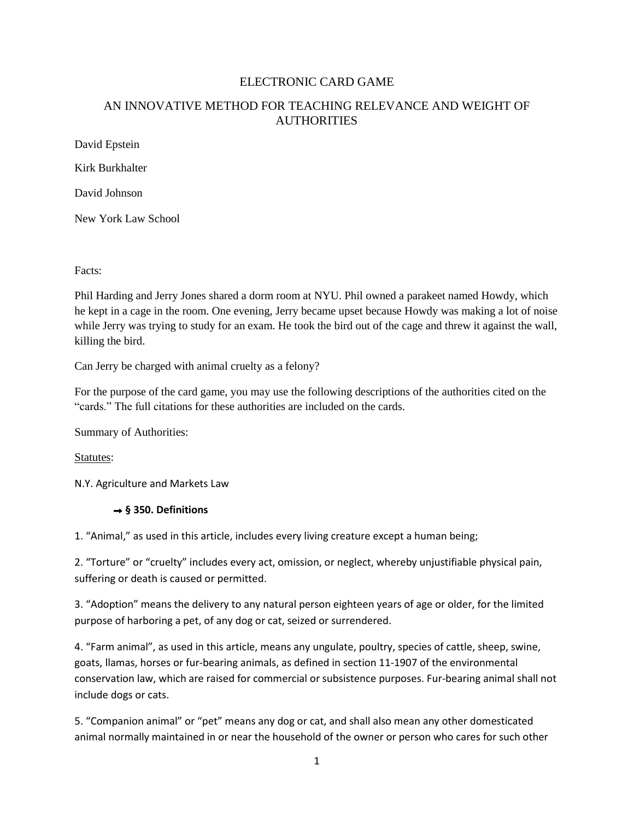# ELECTRONIC CARD GAME

# AN INNOVATIVE METHOD FOR TEACHING RELEVANCE AND WEIGHT OF **AUTHORITIES**

David Epstein

Kirk Burkhalter

David Johnson

New York Law School

Facts:

Phil Harding and Jerry Jones shared a dorm room at NYU. Phil owned a parakeet named Howdy, which he kept in a cage in the room. One evening, Jerry became upset because Howdy was making a lot of noise while Jerry was trying to study for an exam. He took the bird out of the cage and threw it against the wall, killing the bird.

Can Jerry be charged with animal cruelty as a felony?

For the purpose of the card game, you may use the following descriptions of the authorities cited on the "cards." The full citations for these authorities are included on the cards.

Summary of Authorities:

Statutes:

N.Y. Agriculture and Markets Law

# **§ 350. Definitions**

1. "Animal," as used in this article, includes every living creature except a human being;

2. "Torture" or "cruelty" includes every act, omission, or neglect, whereby unjustifiable physical pain, suffering or death is caused or permitted.

3. "Adoption" means the delivery to any natural person eighteen years of age or older, for the limited purpose of harboring a pet, of any dog or cat, seized or surrendered.

4. "Farm animal", as used in this article, means any ungulate, poultry, species of cattle, sheep, swine, goats, llamas, horses or fur-bearing animals, as defined in section 11-1907 of the environmental conservation law, which are raised for commercial or subsistence purposes. Fur-bearing animal shall not include dogs or cats.

5. "Companion animal" or "pet" means any dog or cat, and shall also mean any other domesticated animal normally maintained in or near the household of the owner or person who cares for such other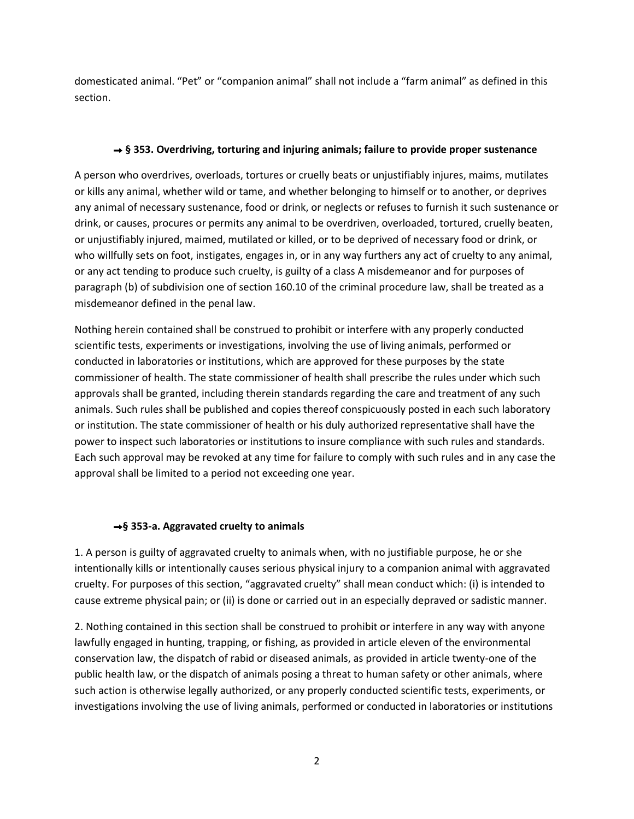domesticated animal. "Pet" or "companion animal" shall not include a "farm animal" as defined in this section.

## **§ 353. Overdriving, torturing and injuring animals; failure to provide proper sustenance**

A person who overdrives, overloads, tortures or cruelly beats or unjustifiably injures, maims, mutilates or kills any animal, whether wild or tame, and whether belonging to himself or to another, or deprives any animal of necessary sustenance, food or drink, or neglects or refuses to furnish it such sustenance or drink, or causes, procures or permits any animal to be overdriven, overloaded, tortured, cruelly beaten, or unjustifiably injured, maimed, mutilated or killed, or to be deprived of necessary food or drink, or who willfully sets on foot, instigates, engages in, or in any way furthers any act of cruelty to any animal, or any act tending to produce such cruelty, is guilty of a class A misdemeanor and for purposes of paragraph (b) of subdivision one of section 160.10 of the criminal procedure law, shall be treated as a misdemeanor defined in the penal law.

Nothing herein contained shall be construed to prohibit or interfere with any properly conducted scientific tests, experiments or investigations, involving the use of living animals, performed or conducted in laboratories or institutions, which are approved for these purposes by the state commissioner of health. The state commissioner of health shall prescribe the rules under which such approvals shall be granted, including therein standards regarding the care and treatment of any such animals. Such rules shall be published and copies thereof conspicuously posted in each such laboratory or institution. The state commissioner of health or his duly authorized representative shall have the power to inspect such laboratories or institutions to insure compliance with such rules and standards. Each such approval may be revoked at any time for failure to comply with such rules and in any case the approval shall be limited to a period not exceeding one year.

# **§ 353-a. Aggravated cruelty to animals**

1. A person is guilty of aggravated cruelty to animals when, with no justifiable purpose, he or she intentionally kills or intentionally causes serious physical injury to a companion animal with aggravated cruelty. For purposes of this section, "aggravated cruelty" shall mean conduct which: (i) is intended to cause extreme physical pain; or (ii) is done or carried out in an especially depraved or sadistic manner.

2. Nothing contained in this section shall be construed to prohibit or interfere in any way with anyone lawfully engaged in hunting, trapping, or fishing, as provided in article eleven of the environmental conservation law, the dispatch of rabid or diseased animals, as provided in article twenty-one of the public health law, or the dispatch of animals posing a threat to human safety or other animals, where such action is otherwise legally authorized, or any properly conducted scientific tests, experiments, or investigations involving the use of living animals, performed or conducted in laboratories or institutions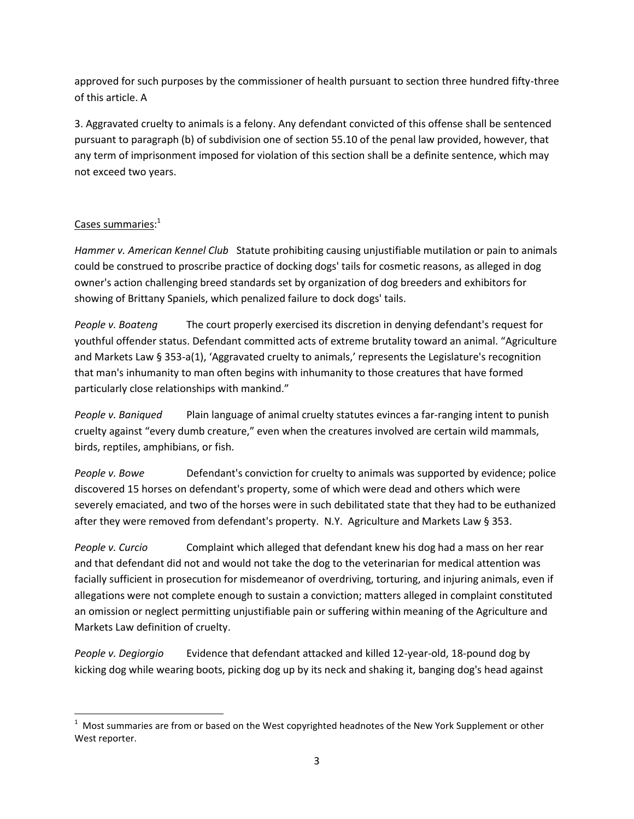approved for such purposes by the commissioner of health pursuant to section three hundred fifty-three of this article. A

3. Aggravated cruelty to animals is a felony. Any defendant convicted of this offense shall be sentenced pursuant to paragraph (b) of subdivision one of section 55.10 of the penal law provided, however, that any term of imprisonment imposed for violation of this section shall be a definite sentence, which may not exceed two years.

# Cases summaries: 1

l

*Hammer v. American Kennel Club* Statute prohibiting causing unjustifiable mutilation or pain to animals could be construed to proscribe practice of docking dogs' tails for cosmetic reasons, as alleged in dog owner's action challenging breed standards set by organization of dog breeders and exhibitors for showing of Brittany Spaniels, which penalized failure to dock dogs' tails.

*People v. Boateng* The court properly exercised its discretion in denying defendant's request for youthful offender status. Defendant committed acts of extreme brutality toward an animal. "Agriculture and Markets Law § 353-a(1), 'Aggravated cruelty to animals,' represents the Legislature's recognition that man's inhumanity to man often begins with inhumanity to those creatures that have formed particularly close relationships with mankind."

*People v. Baniqued* Plain language of animal cruelty statutes evinces a far-ranging intent to punish cruelty against "every dumb creature," even when the creatures involved are certain wild mammals, birds, reptiles, amphibians, or fish.

*People v. Bowe* Defendant's conviction for cruelty to animals was supported by evidence; police discovered 15 horses on defendant's property, some of which were dead and others which were severely emaciated, and two of the horses were in such debilitated state that they had to be euthanized after they were removed from defendant's property. N.Y. Agriculture and Markets Law § 353.

*People v. Curcio* Complaint which alleged that defendant knew his dog had a mass on her rear and that defendant did not and would not take the dog to the veterinarian for medical attention was facially sufficient in prosecution for misdemeanor of overdriving, torturing, and injuring animals, even if allegations were not complete enough to sustain a conviction; matters alleged in complaint constituted an omission or neglect permitting unjustifiable pain or suffering within meaning of the Agriculture and Markets Law definition of cruelty.

*People v. Degiorgio* Evidence that defendant attacked and killed 12-year-old, 18-pound dog by kicking dog while wearing boots, picking dog up by its neck and shaking it, banging dog's head against

 $1$  Most summaries are from or based on the West copyrighted headnotes of the New York Supplement or other West reporter.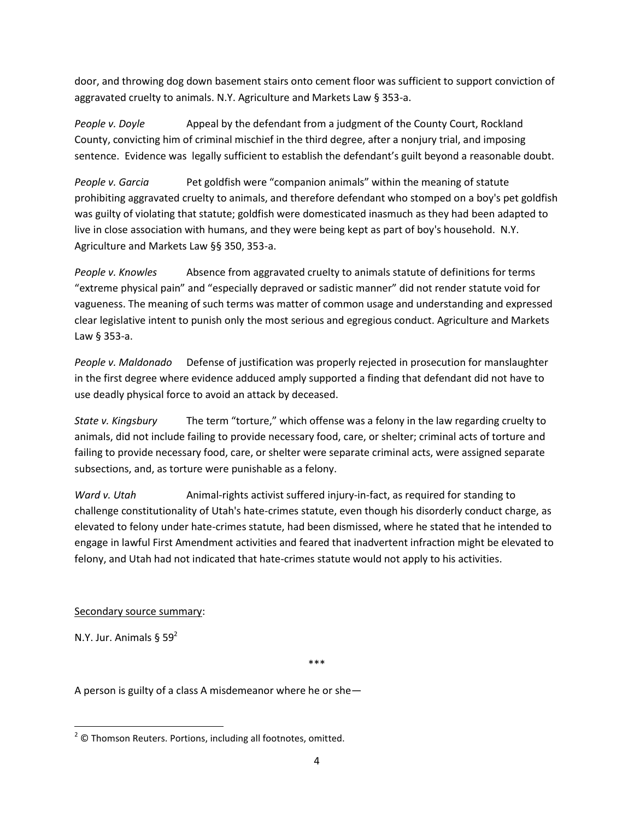door, and throwing dog down basement stairs onto cement floor was sufficient to support conviction of aggravated cruelty to animals. N.Y. Agriculture and Markets Law § 353-a.

*People v. Doyle* Appeal by the defendant from a judgment of the County Court, Rockland County, convicting him of criminal mischief in the third degree, after a nonjury trial, and imposing sentence. Evidence was legally sufficient to establish the defendant's guilt beyond a reasonable doubt.

*People v. Garcia* Pet goldfish were "companion animals" within the meaning of statute prohibiting aggravated cruelty to animals, and therefore defendant who stomped on a boy's pet goldfish was guilty of violating that statute; goldfish were domesticated inasmuch as they had been adapted to live in close association with humans, and they were being kept as part of boy's household. N.Y. Agriculture and Markets Law §§ 350, 353-a.

People v. Knowles **Absence from aggravated cruelty to animals statute of definitions for terms** "extreme physical pain" and "especially depraved or sadistic manner" did not render statute void for vagueness. The meaning of such terms was matter of common usage and understanding and expressed clear legislative intent to punish only the most serious and egregious conduct. Agriculture and Markets Law § 353-a.

*People v. Maldonado* Defense of justification was properly rejected in prosecution for manslaughter in the first degree where evidence adduced amply supported a finding that defendant did not have to use deadly physical force to avoid an attack by deceased.

*State v. Kingsbury* The term "torture," which offense was a felony in the law regarding cruelty to animals, did not include failing to provide necessary food, care, or shelter; criminal acts of torture and failing to provide necessary food, care, or shelter were separate criminal acts, were assigned separate subsections, and, as torture were punishable as a felony.

*Ward v. Utah* Animal-rights activist suffered injury-in-fact, as required for standing to challenge constitutionality of Utah's hate-crimes statute, even though his disorderly conduct charge, as elevated to felony under hate-crimes statute, had been dismissed, where he stated that he intended to engage in lawful First Amendment activities and feared that inadvertent infraction might be elevated to felony, and Utah had not indicated that hate-crimes statute would not apply to his activities.

# Secondary source summary:

N.Y. Jur. Animals  $\S 59^2$ 

 $\overline{\phantom{a}}$ 

\*\*\*

A person is guilty of a class A misdemeanor where he or she—

 $2^2$  © Thomson Reuters. Portions, including all footnotes, omitted.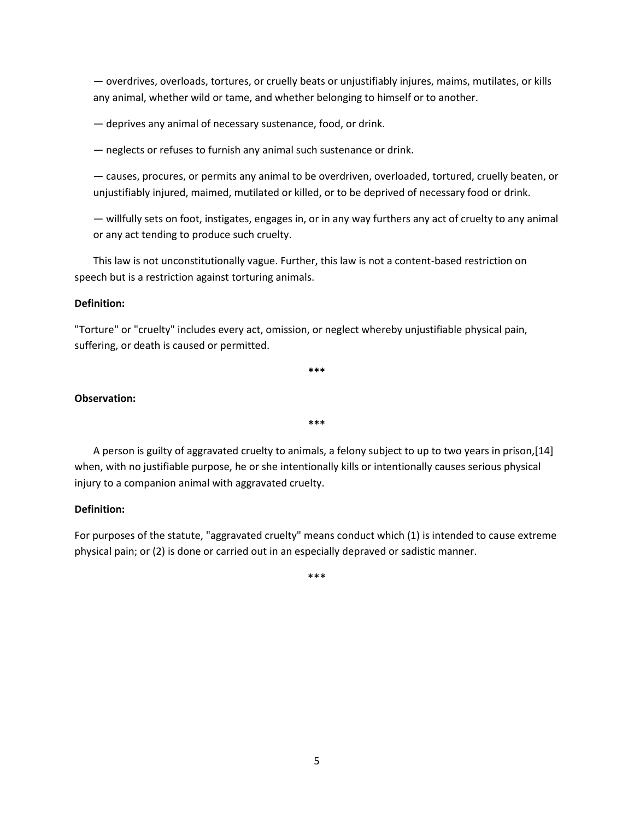— overdrives, overloads, tortures, or cruelly beats or unjustifiably injures, maims, mutilates, or kills any animal, whether wild or tame, and whether belonging to himself or to another.

— deprives any animal of necessary sustenance, food, or drink.

— neglects or refuses to furnish any animal such sustenance or drink.

— causes, procures, or permits any animal to be overdriven, overloaded, tortured, cruelly beaten, or unjustifiably injured, maimed, mutilated or killed, or to be deprived of necessary food or drink.

— willfully sets on foot, instigates, engages in, or in any way furthers any act of cruelty to any animal or any act tending to produce such cruelty.

This law is not unconstitutionally vague. Further, this law is not a content-based restriction on speech but is a restriction against torturing animals.

### **Definition:**

"Torture" or "cruelty" includes every act, omission, or neglect whereby unjustifiable physical pain, suffering, or death is caused or permitted.

**\*\*\***

## **Observation:**

A person is guilty of aggravated cruelty to animals, a felony subject to up to two years in prison,[14] when, with no justifiable purpose, he or she intentionally kills or intentionally causes serious physical injury to a companion animal with aggravated cruelty.

**\*\*\***

### **Definition:**

For purposes of the statute, "aggravated cruelty" means conduct which (1) is intended to cause extreme physical pain; or (2) is done or carried out in an especially depraved or sadistic manner.

\*\*\*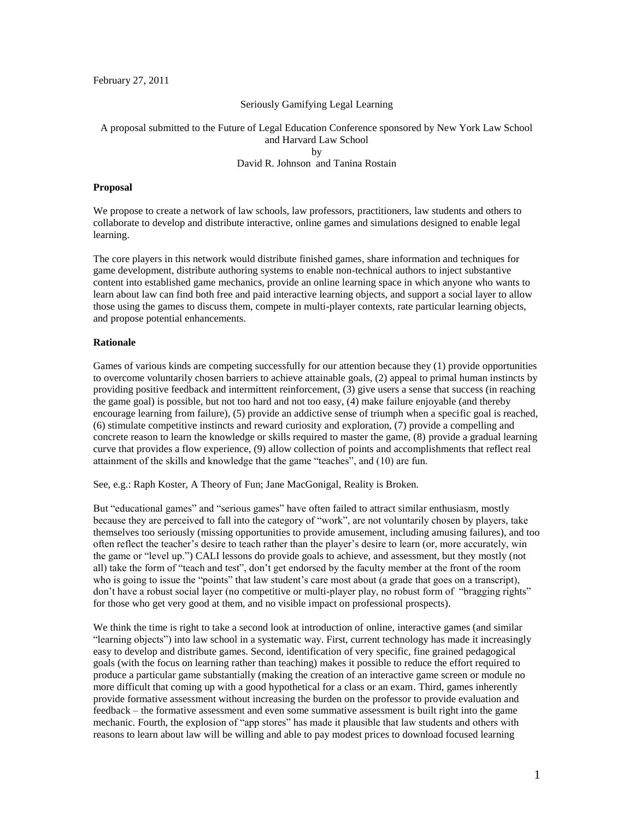February 27, 2011

#### Seriously Gamifying Legal Learning

# A proposal submitted to the Future of Legal Education Conference sponsored by New York Law School and Harvard Law School by

### David R. Johnson and Tanina Rostain

#### **Proposal**

We propose to create a network of law schools, law professors, practitioners, law students and others to collaborate to develop and distribute interactive, online games and simulations designed to enable legal learning.

The core players in this network would distribute finished games, share information and techniques for game development, distribute authoring systems to enable non-technical authors to inject substantive content into established game mechanics, provide an online learning space in which anyone who wants to learn about law can find both free and paid interactive learning objects, and support a social layer to allow those using the games to discuss them, compete in multi-player contexts, rate particular learning objects, and propose potential enhancements.

#### **Rationale**

Games of various kinds are competing successfully for our attention because they (1) provide opportunities to overcome voluntarily chosen barriers to achieve attainable goals, (2) appeal to primal human instincts by providing positive feedback and intermittent reinforcement, (3) give users a sense that success (in reaching the game goal) is possible, but not too hard and not too easy, (4) make failure enjoyable (and thereby encourage learning from failure), (5) provide an addictive sense of triumph when a specific goal is reached, (6) stimulate competitive instincts and reward curiosity and exploration, (7) provide a compelling and concrete reason to learn the knowledge or skills required to master the game, (8) provide a gradual learning curve that provides a flow experience, (9) allow collection of points and accomplishments that reflect real attainment of the skills and knowledge that the game "teaches", and (10) are fun.

See, e.g.: Raph Koster, A Theory of Fun; Jane MacGonigal, Reality is Broken.

But "educational games" and "serious games" have often failed to attract similar enthusiasm, mostly because they are perceived to fall into the category of "work", are not voluntarily chosen by players, take themselves too seriously (missing opportunities to provide amusement, including amusing failures), and too often reflect the teacher's desire to teach rather than the player's desire to learn (or, more accurately, win the game or "level up.") CALI lessons do provide goals to achieve, and assessment, but they mostly (not all) take the form of "teach and test", don't get endorsed by the faculty member at the front of the room who is going to issue the "points" that law student's care most about (a grade that goes on a transcript), don't have a robust social layer (no competitive or multi-player play, no robust form of "bragging rights" for those who get very good at them, and no visible impact on professional prospects).

We think the time is right to take a second look at introduction of online, interactive games (and similar "learning objects") into law school in a systematic way. First, current technology has made it increasingly easy to develop and distribute games. Second, identification of very specific, fine grained pedagogical goals (with the focus on learning rather than teaching) makes it possible to reduce the effort required to produce a particular game substantially (making the creation of an interactive game screen or module no more difficult that coming up with a good hypothetical for a class or an exam. Third, games inherently provide formative assessment without increasing the burden on the professor to provide evaluation and feedback – the formative assessment and even some summative assessment is built right into the game mechanic. Fourth, the explosion of "app stores" has made it plausible that law students and others with reasons to learn about law will be willing and able to pay modest prices to download focused learning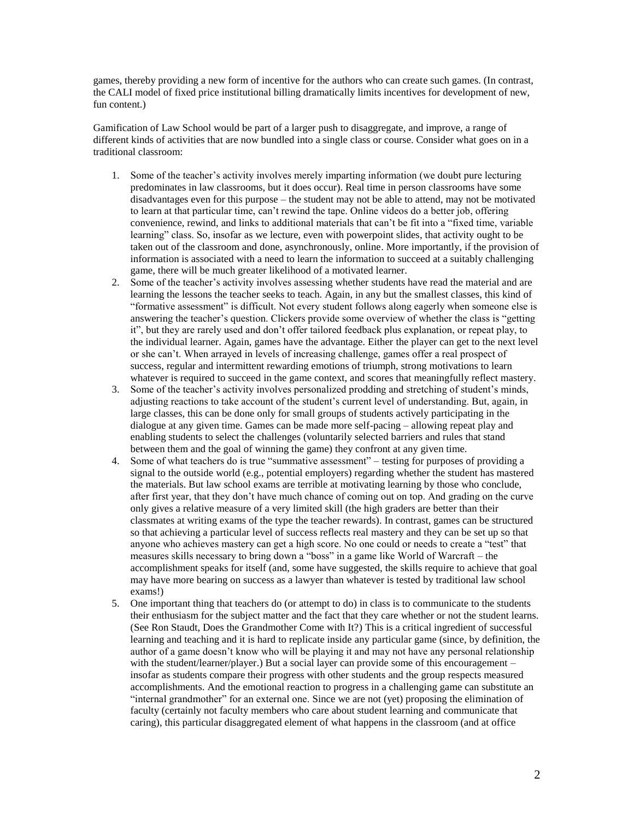games, thereby providing a new form of incentive for the authors who can create such games. (In contrast, the CALI model of fixed price institutional billing dramatically limits incentives for development of new, fun content.)

Gamification of Law School would be part of a larger push to disaggregate, and improve, a range of different kinds of activities that are now bundled into a single class or course. Consider what goes on in a traditional classroom:

- 1. Some of the teacher's activity involves merely imparting information (we doubt pure lecturing predominates in law classrooms, but it does occur). Real time in person classrooms have some disadvantages even for this purpose – the student may not be able to attend, may not be motivated to learn at that particular time, can't rewind the tape. Online videos do a better job, offering convenience, rewind, and links to additional materials that can't be fit into a "fixed time, variable learning" class. So, insofar as we lecture, even with powerpoint slides, that activity ought to be taken out of the classroom and done, asynchronously, online. More importantly, if the provision of information is associated with a need to learn the information to succeed at a suitably challenging game, there will be much greater likelihood of a motivated learner.
- 2. Some of the teacher's activity involves assessing whether students have read the material and are learning the lessons the teacher seeks to teach. Again, in any but the smallest classes, this kind of "formative assessment" is difficult. Not every student follows along eagerly when someone else is answering the teacher's question. Clickers provide some overview of whether the class is "getting it", but they are rarely used and don't offer tailored feedback plus explanation, or repeat play, to the individual learner. Again, games have the advantage. Either the player can get to the next level or she can't. When arrayed in levels of increasing challenge, games offer a real prospect of success, regular and intermittent rewarding emotions of triumph, strong motivations to learn whatever is required to succeed in the game context, and scores that meaningfully reflect mastery.
- 3. Some of the teacher's activity involves personalized prodding and stretching of student's minds, adjusting reactions to take account of the student's current level of understanding. But, again, in large classes, this can be done only for small groups of students actively participating in the dialogue at any given time. Games can be made more self-pacing – allowing repeat play and enabling students to select the challenges (voluntarily selected barriers and rules that stand between them and the goal of winning the game) they confront at any given time.
- 4. Some of what teachers do is true "summative assessment" testing for purposes of providing a signal to the outside world (e.g., potential employers) regarding whether the student has mastered the materials. But law school exams are terrible at motivating learning by those who conclude, after first year, that they don't have much chance of coming out on top. And grading on the curve only gives a relative measure of a very limited skill (the high graders are better than their classmates at writing exams of the type the teacher rewards). In contrast, games can be structured so that achieving a particular level of success reflects real mastery and they can be set up so that anyone who achieves mastery can get a high score. No one could or needs to create a "test" that measures skills necessary to bring down a "boss" in a game like World of Warcraft – the accomplishment speaks for itself (and, some have suggested, the skills require to achieve that goal may have more bearing on success as a lawyer than whatever is tested by traditional law school exams!)
- 5. One important thing that teachers do (or attempt to do) in class is to communicate to the students their enthusiasm for the subject matter and the fact that they care whether or not the student learns. (See Ron Staudt, Does the Grandmother Come with It?) This is a critical ingredient of successful learning and teaching and it is hard to replicate inside any particular game (since, by definition, the author of a game doesn't know who will be playing it and may not have any personal relationship with the student/learner/player.) But a social layer can provide some of this encouragement – insofar as students compare their progress with other students and the group respects measured accomplishments. And the emotional reaction to progress in a challenging game can substitute an "internal grandmother" for an external one. Since we are not (yet) proposing the elimination of faculty (certainly not faculty members who care about student learning and communicate that caring), this particular disaggregated element of what happens in the classroom (and at office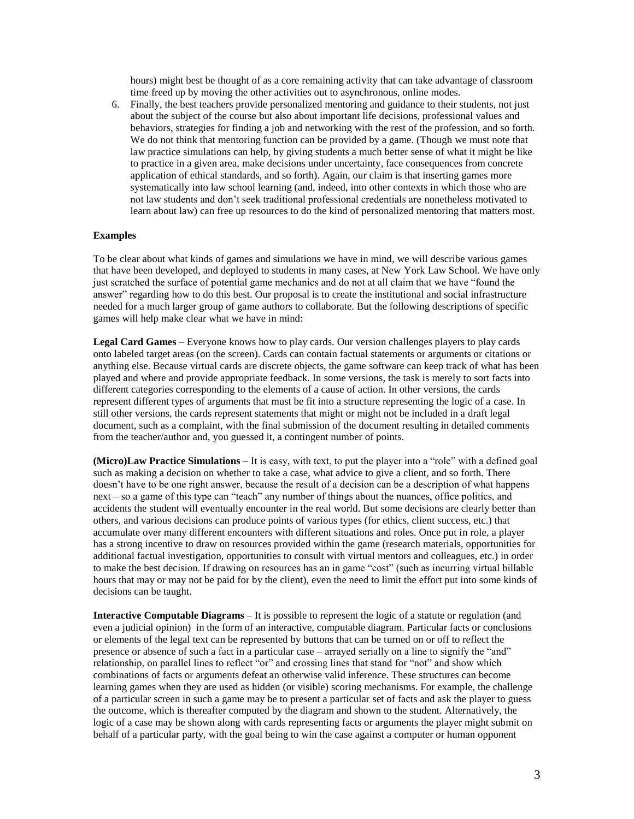hours) might best be thought of as a core remaining activity that can take advantage of classroom time freed up by moving the other activities out to asynchronous, online modes.

6. Finally, the best teachers provide personalized mentoring and guidance to their students, not just about the subject of the course but also about important life decisions, professional values and behaviors, strategies for finding a job and networking with the rest of the profession, and so forth. We do not think that mentoring function can be provided by a game. (Though we must note that law practice simulations can help, by giving students a much better sense of what it might be like to practice in a given area, make decisions under uncertainty, face consequences from concrete application of ethical standards, and so forth). Again, our claim is that inserting games more systematically into law school learning (and, indeed, into other contexts in which those who are not law students and don't seek traditional professional credentials are nonetheless motivated to learn about law) can free up resources to do the kind of personalized mentoring that matters most.

#### **Examples**

To be clear about what kinds of games and simulations we have in mind, we will describe various games that have been developed, and deployed to students in many cases, at New York Law School. We have only just scratched the surface of potential game mechanics and do not at all claim that we have "found the answer" regarding how to do this best. Our proposal is to create the institutional and social infrastructure needed for a much larger group of game authors to collaborate. But the following descriptions of specific games will help make clear what we have in mind:

**Legal Card Games** – Everyone knows how to play cards. Our version challenges players to play cards onto labeled target areas (on the screen). Cards can contain factual statements or arguments or citations or anything else. Because virtual cards are discrete objects, the game software can keep track of what has been played and where and provide appropriate feedback. In some versions, the task is merely to sort facts into different categories corresponding to the elements of a cause of action. In other versions, the cards represent different types of arguments that must be fit into a structure representing the logic of a case. In still other versions, the cards represent statements that might or might not be included in a draft legal document, such as a complaint, with the final submission of the document resulting in detailed comments from the teacher/author and, you guessed it, a contingent number of points.

**(Micro)Law Practice Simulations** – It is easy, with text, to put the player into a "role" with a defined goal such as making a decision on whether to take a case, what advice to give a client, and so forth. There doesn't have to be one right answer, because the result of a decision can be a description of what happens next – so a game of this type can "teach" any number of things about the nuances, office politics, and accidents the student will eventually encounter in the real world. But some decisions are clearly better than others, and various decisions can produce points of various types (for ethics, client success, etc.) that accumulate over many different encounters with different situations and roles. Once put in role, a player has a strong incentive to draw on resources provided within the game (research materials, opportunities for additional factual investigation, opportunities to consult with virtual mentors and colleagues, etc.) in order to make the best decision. If drawing on resources has an in game "cost" (such as incurring virtual billable hours that may or may not be paid for by the client), even the need to limit the effort put into some kinds of decisions can be taught.

**Interactive Computable Diagrams** – It is possible to represent the logic of a statute or regulation (and even a judicial opinion) in the form of an interactive, computable diagram. Particular facts or conclusions or elements of the legal text can be represented by buttons that can be turned on or off to reflect the presence or absence of such a fact in a particular case – arrayed serially on a line to signify the "and" relationship, on parallel lines to reflect "or" and crossing lines that stand for "not" and show which combinations of facts or arguments defeat an otherwise valid inference. These structures can become learning games when they are used as hidden (or visible) scoring mechanisms. For example, the challenge of a particular screen in such a game may be to present a particular set of facts and ask the player to guess the outcome, which is thereafter computed by the diagram and shown to the student. Alternatively, the logic of a case may be shown along with cards representing facts or arguments the player might submit on behalf of a particular party, with the goal being to win the case against a computer or human opponent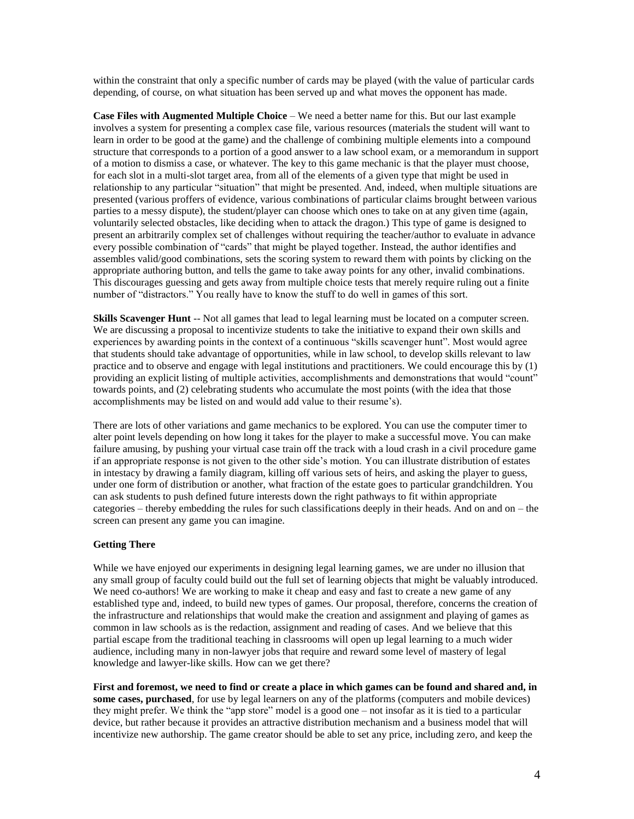within the constraint that only a specific number of cards may be played (with the value of particular cards depending, of course, on what situation has been served up and what moves the opponent has made.

**Case Files with Augmented Multiple Choice** – We need a better name for this. But our last example involves a system for presenting a complex case file, various resources (materials the student will want to learn in order to be good at the game) and the challenge of combining multiple elements into a compound structure that corresponds to a portion of a good answer to a law school exam, or a memorandum in support of a motion to dismiss a case, or whatever. The key to this game mechanic is that the player must choose, for each slot in a multi-slot target area, from all of the elements of a given type that might be used in relationship to any particular "situation" that might be presented. And, indeed, when multiple situations are presented (various proffers of evidence, various combinations of particular claims brought between various parties to a messy dispute), the student/player can choose which ones to take on at any given time (again, voluntarily selected obstacles, like deciding when to attack the dragon.) This type of game is designed to present an arbitrarily complex set of challenges without requiring the teacher/author to evaluate in advance every possible combination of "cards" that might be played together. Instead, the author identifies and assembles valid/good combinations, sets the scoring system to reward them with points by clicking on the appropriate authoring button, and tells the game to take away points for any other, invalid combinations. This discourages guessing and gets away from multiple choice tests that merely require ruling out a finite number of "distractors." You really have to know the stuff to do well in games of this sort.

**Skills Scavenger Hunt** -- Not all games that lead to legal learning must be located on a computer screen. We are discussing a proposal to incentivize students to take the initiative to expand their own skills and experiences by awarding points in the context of a continuous "skills scavenger hunt". Most would agree that students should take advantage of opportunities, while in law school, to develop skills relevant to law practice and to observe and engage with legal institutions and practitioners. We could encourage this by (1) providing an explicit listing of multiple activities, accomplishments and demonstrations that would "count" towards points, and (2) celebrating students who accumulate the most points (with the idea that those accomplishments may be listed on and would add value to their resume's).

There are lots of other variations and game mechanics to be explored. You can use the computer timer to alter point levels depending on how long it takes for the player to make a successful move. You can make failure amusing, by pushing your virtual case train off the track with a loud crash in a civil procedure game if an appropriate response is not given to the other side's motion. You can illustrate distribution of estates in intestacy by drawing a family diagram, killing off various sets of heirs, and asking the player to guess, under one form of distribution or another, what fraction of the estate goes to particular grandchildren. You can ask students to push defined future interests down the right pathways to fit within appropriate categories – thereby embedding the rules for such classifications deeply in their heads. And on and on – the screen can present any game you can imagine.

### **Getting There**

While we have enjoyed our experiments in designing legal learning games, we are under no illusion that any small group of faculty could build out the full set of learning objects that might be valuably introduced. We need co-authors! We are working to make it cheap and easy and fast to create a new game of any established type and, indeed, to build new types of games. Our proposal, therefore, concerns the creation of the infrastructure and relationships that would make the creation and assignment and playing of games as common in law schools as is the redaction, assignment and reading of cases. And we believe that this partial escape from the traditional teaching in classrooms will open up legal learning to a much wider audience, including many in non-lawyer jobs that require and reward some level of mastery of legal knowledge and lawyer-like skills. How can we get there?

**First and foremost, we need to find or create a place in which games can be found and shared and, in some cases, purchased**, for use by legal learners on any of the platforms (computers and mobile devices) they might prefer. We think the "app store" model is a good one – not insofar as it is tied to a particular device, but rather because it provides an attractive distribution mechanism and a business model that will incentivize new authorship. The game creator should be able to set any price, including zero, and keep the